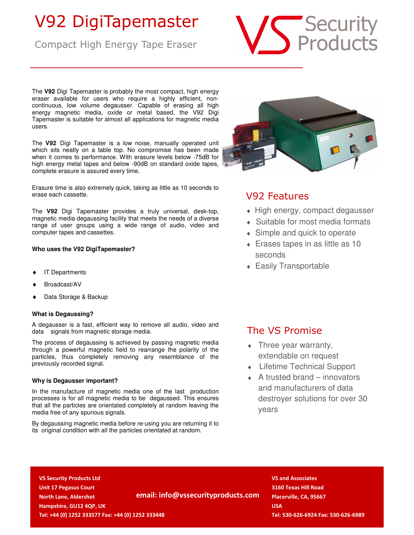## V92 DigiTapemaster

Compact High Energy Tape Eraser



The **V92** Digi Tapemaster is probably the most compact, high energy eraser available for users who require a highly efficient, noncontinuous, low volume degausser. Capable of erasing all high energy magnetic media, oxide or metal based, the V92 Digi Tapemaster is suitable for almost all applications for magnetic media users.

The **V92** Digi Tapemaster is a low noise, manually operated unit which sits neatly on a table top. No compromise has been made when it comes to performance. With erasure levels below -75dB for high energy metal tapes and below -90dB on standard oxide tapes, complete erasure is assured every time.

Erasure time is also extremely quick, taking as little as 10 seconds to erase each cassette.

The **V92** Digi Tapemaster provides a truly universal, desk-top, magnetic media degaussing facility that meets the needs of a diverse range of user groups using a wide range of audio, video and computer tapes and cassettes.

### **Who uses the V92 DigiTapemaster?**

- **IT Departments**
- Broadcast/AV
- Data Storage & Backup

### **What is Degaussing?**

A degausser is a fast, efficient way to remove all audio, video and data signals from magnetic storage media.

The process of degaussing is achieved by passing magnetic media through a powerful magnetic field to rearrange the polarity of the particles, thus completely removing any resemblance of the previously recorded signal.

### **Why is Degausser important?**

In the manufacture of magnetic media one of the last production processes is for all magnetic media to be degaussed. This ensures that all the particles are orientated completely at random leaving the media free of any spurious signals.

By degaussing magnetic media before re-using you are returning it to its original condition with all the particles orientated at random.



## V92 Features

- $\bullet$  High energy, compact degausser
- ♦ Suitable for most media formats
- $\bullet$  Simple and quick to operate
- $\triangle$  Erases tapes in as little as 10 seconds
- ♦ Easily Transportable

### The VS Promise

- $\bullet$  Three year warranty, extendable on request
- ♦ Lifetime Technical Support
- $\triangle$  A trusted brand innovators and manufacturers of data destroyer solutions for over 30 years

 **VS Security Products Ltd** VS and Associates **VS and Associates VS and Associates VS and Associates VS** and Associates **VS** and Associates **VS** and Associates **VS** and Associates **VS** and Associates **VS** and Associa  **Unit 17 Pegasus Court 3160 Texas Hill Road North Lane, Aldershot Placerville, CA, 95667 email: info@vssecurityproducts.com** Placerville, CA, 95667  **Hampshire, GU12 4QP, UK USA** *D* **USA** *D* **USA** *D* **USA** 

 **Tel: +44 (0) 1252 333577 Fax: +44 (0) 1252 333448 Tel: 530-626-6924 Fax: 530-626-6989**